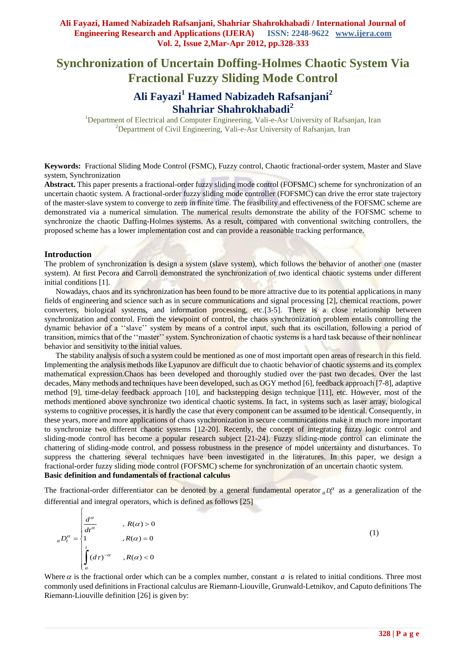# **Synchronization of Uncertain Doffing-Holmes Chaotic System Via Fractional Fuzzy Sliding Mode Control**

## **Ali Fayazi<sup>1</sup> Hamed Nabizadeh Rafsanjani<sup>2</sup> Shahriar Shahrokhabadi<sup>2</sup>**

<sup>1</sup>Department of Electrical and Computer Engineering, Vali-e-Asr University of Rafsanjan, Iran <sup>2</sup>Department of Civil Engineering, Vali-e-Asr University of Rafsanjan, Iran

**Keywords:** Fractional Sliding Mode Control (FSMC), Fuzzy control, Chaotic fractional-order system, Master and Slave system, Synchronization

**Abstract.** This paper presents a fractional-order fuzzy sliding mode control (FOFSMC) scheme for synchronization of an uncertain chaotic system. A fractional-order fuzzy sliding mode controller (FOFSMC) can drive the error state trajectory of the master-slave system to converge to zero in finite time. The feasibility and effectiveness of the FOFSMC scheme are demonstrated via a numerical simulation. The numerical results demonstrate the ability of the FOFSMC scheme to synchronize the chaotic Daffing-Holmes systems. As a result, compared with conventional switching controllers, the proposed scheme has a lower implementation cost and can provide a reasonable tracking performance.

#### **Introduction**

The problem of synchronization is design a system (slave system), which follows the behavior of another one (master system). At first Pecora and Carroll demonstrated the synchronization of two identical chaotic systems under different initial conditions [1].

Nowadays, chaos and its synchronization has been found to be more attractive due to its potential applications in many fields of engineering and science such as in secure communications and signal processing [2], chemical reactions, power converters, biological systems, and information processing, etc.[3-5]. There is a close relationship between synchronization and control. From the viewpoint of control, the chaos synchronization problem entails controlling the dynamic behavior of a ''slave'' system by means of a control input, such that its oscillation, following a period of transition, mimics that of the ''master'' system. Synchronization of chaotic systems is a hard task because of their nonlinear behavior and sensitivity to the initial values.

The stability analysis of such a system could be mentioned as one of most important open areas of research in this field. Implementing the analysis methods like Lyapunov are difficult due to chaotic behavior of chaotic systems and its complex mathematical expression.Chaos has been developed and thoroughly studied over the past two decades. Over the last decades, Many methods and techniques have been developed, such as OGY method [6], feedback approach [7-8], adaptive method [9], time-delay feedback approach [10], and backstepping design technique [11], etc. However, most of the methods mentioned above synchronize two identical chaotic systems. In fact, in systems such as laser array, biological systems to cognitive processes, it is hardly the case that every component can be assumed to be identical. Consequently, in these years, more and more applications of chaos synchronization in secure communications make it much more important to synchronize two different chaotic systems [12-20]. Recently, the concept of integrating fuzzy logic control and sliding-mode control has become a popular research subject [21-24]. Fuzzy sliding-mode control can eliminate the chattering of sliding-mode control, and possess robustness in the presence of model uncertainty and disturbances. To suppress the chattering several techniques have been investigated in the literatures. In this paper, we design a fractional-order fuzzy sliding mode control (FOFSMC) scheme for synchronization of an uncertain chaotic system. **Basic definition and fundamentals of fractional calculus**

The fractional-order differentiator can be denoted by a general fundamental operator  ${_aD_t^{\alpha}}$  as a generalization of the differential and integral operators, which is defined as follows [25]

$$
{}_{a}D_{t}^{\alpha} = \begin{cases} \frac{d^{\alpha}}{dt^{\alpha}} & , R(\alpha) > 0 \\ 1 & , R(\alpha) = 0 \\ \int_{a}^{t} (d\tau)^{-\alpha} & , R(\alpha) < 0 \end{cases}
$$
 (1)

Where  $\alpha$  is the fractional order which can be a complex number, constant  $\alpha$  is related to initial conditions. Three most commonly used definitions in Fractional calculus are Riemann-Liouville, Grunwald-Letnikov, and Caputo definitions The Riemann-Liouville definition [26] is given by: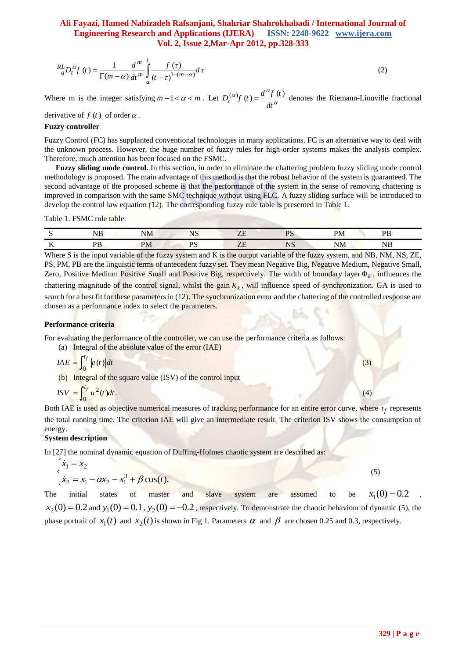$$
{}_{a}^{RL}D_{t}^{\alpha}f(t) = \frac{1}{\Gamma(m-\alpha)} \frac{d^{m}}{dt^{m}} \int_{a}^{t} \frac{f(\tau)}{(\tau-\tau)^{1-(m-\alpha)}} d\tau
$$
 (2)

Where m is the integer satisfying  $m-1 < \alpha < m$ . Let  $D_t^{(\alpha)}f(t) = \frac{d^{\alpha}f(t)}{d^{\alpha}f(t)}$ *dt*  $(a)$   $\alpha$   $d^{\alpha}$  $=\frac{d^2 f(t)}{dt^2}$  denotes the Riemann-Liouville fractional

derivative of  $f(t)$  of order  $\alpha$ .

#### **Fuzzy controller**

Fuzzy Control (FC) has supplanted conventional technologies in many applications. FC is an alternative way to deal with the unknown process. However, the huge number of fuzzy rules for high-order systems makes the analysis complex. Therefore, much attention has been focused on the FSMC.

**Fuzzy sliding mode control.** In this section, in order to eliminate the chattering problem fuzzy sliding mode control methodology is proposed. The main advantage of this method is that the robust behavior of the system is guaranteed. The second advantage of the proposed scheme is that the performance of the system in the sense of removing chattering is improved in comparison with the same SMC technique without using FLC. A fuzzy sliding surface will be introduced to develop the control law equation (12). The corresponding fuzzy rule table is presented in Table 1.

Table 1. FSMC rule table.

|            | $_{\rm NB}$ | $\mathbf{v}$<br>NΜ | $\sqrt{2}$<br>໋ | $\overline{ }$<br>ப | O'<br>TD. | וס           | nт                   |
|------------|-------------|--------------------|-----------------|---------------------|-----------|--------------|----------------------|
| $-$<br>. . | DТ<br>1 D   | PM                 | nс              | ப                   | .TC<br>NS | $\sim$<br>NM | --<br>. IN 1.<br>11D |

**329 | P a g e** 1 ( ) Where S is the input variable of the fuzzy system and K is the output variable of the fuzzy system, and NB, NM, NS, ZE, PS, PM, PB are the linguistic terms of antecedent fuzzy set. They mean Negative Big, Negative Medium, Negative Small, Zero, Positive Medium Positive Small and Positive Big, respectively. The width of boundary layer  $\Phi_k$ , influences the chattering magnitude of the control signal, whilst the gain  $K_k$ , will influence speed of synchronization. GA is used to search for a best fit for these parameters in (12). The synchronization error and the chattering of the controlled response are chosen as a performance index to select the parameters.

#### **Performance criteria**

For evaluating the performance of the controller, we can use the performance criteria as follows:

(a) Integral of the absolute value of the error (IAE)

$$
IAE = \int_0^{t_f} |e(t)| dt
$$

(b) Integral of the square value (ISV) of the control input

$$
ISV = \int_0^{t_f} u^2(t)dt.
$$
 (4)

Both IAE is used as objective numerical measures of tracking performance for an entire error curve, where  $t_f$  represents the total running time. The criterion IAE will give an intermediate result. The criterion ISV shows the consumption of energy.

#### **System description**

In [27] the nominal dynamic equation of Duffing-Holmes chaotic system are described as:

$$
\begin{cases} \n\dot{x}_1 = x_2\\ \n\dot{x}_2 = x_1 - \alpha x_2 - x_1^3 + \beta \cos(t). \n\end{cases} \n\tag{5}
$$

The initial states of master and slave system are assumed to be  $x_1(0) = 0.2$ ,  $x_2(0) = 0.2$  and  $y_1(0) = 0.1$ ,  $y_2(0) = -0.2$ , respectively. To demonstrate the chaotic behaviour of dynamic (5), the phase portrait of  $x_1(t)$  and  $x_2(t)$  is shown in Fig 1. Parameters  $\alpha$  and  $\beta$  are chosen 0.25 and 0.3, respectively.

 $(3)$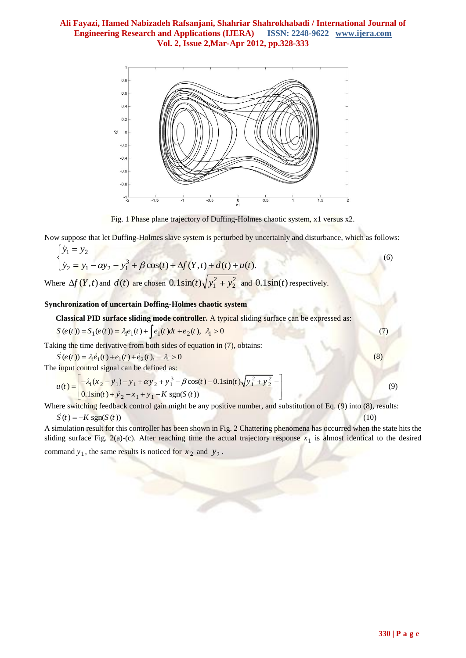

Fig. 1 Phase plane trajectory of Duffing-Holmes chaotic system, x1 versus x2.

Now suppose that let Duffing-Holmes slave system is perturbed by uncertainly and disturbance, which as follows:

$$
\begin{cases} \dot{y}_1 = y_2 \\ \dot{y}_2 = y_1 - \alpha y_2 - y_1^3 + \beta \cos(t) + \Delta f(Y, t) + d(t) + u(t). \end{cases}
$$
\n(6)

Where  $\Delta f(Y,t)$  and  $d(t)$  are chosen  $0.1\sin(t)\sqrt{y_1^2 + y_2^2}$ 2  $0.1\sin(t)\sqrt{y_1^2 + y_2^2}$  and  $0.1\sin(t)$  respectively.

#### **Synchronization of uncertain Doffing-Holmes chaotic system**

Classical PID surface sliding mode controller. A typical sliding surface can be expressed as:  
\n
$$
S(e(t)) = S_1(e(t)) = \lambda_1 e_1(t) + \int e_1(t) dt + e_2(t), \lambda_1 > 0
$$
\n(7)

Taking the time derivative from both sides of equation in (7), obtains:<br>  $\vec{S}(e(t)) = \lambda_1 \vec{e}_1(t) + \vec{e}_1(t) + \vec{e}_2(t), \quad \lambda_1 > 0$  (8)

ing the time derivative from both side  $\vec{S}(e(t)) = \lambda_1 \vec{e}_1(t) + \vec{e}_1(t) + \vec{e}_2(t), \lambda_1$ 

$$
S(e(t)) = \lambda_1 e_1(t) + e_1(t) + e_2(t), \quad \lambda_1 > 0
$$
  
The input control signal can be defined as:  

$$
u(t) = \begin{bmatrix} -\lambda_1 (x_2 - y_1) - y_1 + \alpha y_2 + y_1^3 - \beta \cos(t) - 0.1 \sin(t) \sqrt{y_1^2 + y_2^2} - 0.1 \sin(t) + y_2 - x_1 + y_1 - K \sin(S(t)) \end{bmatrix}
$$

Where switching feedback control gain might be any positive number, and substitution of Eq. (9) into (8), results:

$$
\dot{S}(t) = -K \text{sgn}(S(t)) \tag{10}
$$

A simulation result for this controller has been shown in Fig. 2 Chattering phenomena has occurred when the state hits the sliding surface Fig. 2(a)-(c). After reaching time the actual trajectory response  $x_1$  is almost identical to the desired

command  $y_1$ , the same results is noticed for  $x_2$  and  $y_2$ .

(9)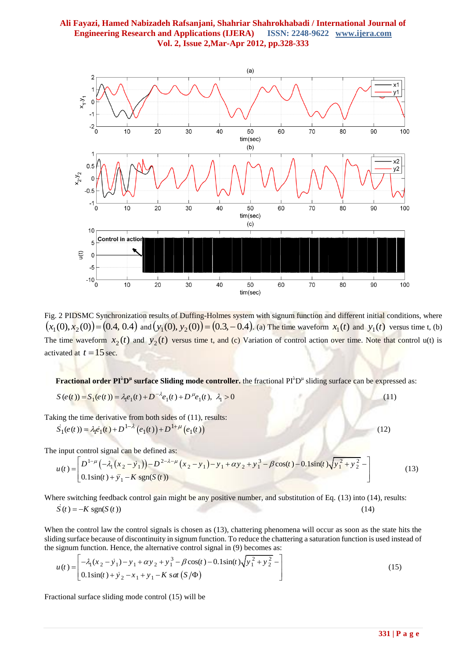

Fig. 2 PIDSMC Synchronization results of Duffing-Holmes system with signum function and different initial conditions, where  $(x_1(0), x_2(0)) = (0.4, 0.4)$  and  $(y_1(0), y_2(0)) = (0.3, -0.4)$ . (a) The time waveform  $x_1(t)$  and  $y_1(t)$  versus time t, (b) The time waveform  $x_2(t)$  and  $y_2(t)$  versus time t, and (c) Variation of control action over time. Note that control u(t) is activated at  $t = 15$  sec.

**Fractional order PI<sup>5</sup>D<sup>n</sup> surface Sliding mode controller.** the fractional PI<sup>5</sup>D<sup>n</sup> sliding surface can be expressed as:<br> $S(e(t)) = S_1(e(t)) = \lambda_1 e_1(t) + D^{-\lambda} e_1(t) + D^{\mu} e_1(t), \lambda_1 > 0$  (11)

$$
S(e(t)) = S_1(e(t)) = \lambda_1 e_1(t) + D^{-\lambda} e_1(t) + D^{\mu} e_1(t), \lambda_1 > 0
$$

Taking the time derivative from both sides of (11), results:<br>  $\dot{S}_1(e(t)) = \lambda_1 \dot{e}_1(t) + D^{1-\lambda} (e_1(t)) + D^{1+\mu} (e_1(t))$  (12)

$$
S_1(e(t)) = \lambda_1 \dot{e}_1(t) + D^{1-\lambda} (e_1(t)) + D^{1+\mu} (e_1(t))
$$

$$
S_1(e(t)) = \lambda_1 e_1(t) + D^{1-\lambda} (e_1(t)) + D^{1+\mu} (e_1(t))
$$
\nThe input control signal can be defined as:

\n
$$
u(t) = \begin{bmatrix} D^{1-\mu} \left( -\lambda_1 (x_2 - y_1) \right) - D^{2-\lambda-\mu} (x_2 - y_1) - y_1 + \alpha y_2 + y_1^3 - \beta \cos(t) - 0.1 \sin(t) \sqrt{y_1^2 + y_2^2} - 0.1 \sin(t) + y_1 - K \sin(S(t)) \end{bmatrix}
$$
\n(12)

Where switching feedback control gain might be any positive number, and substitution of Eq. (13) into (14), results:  $\dot{S}(t) = -K \text{sgn}(S(t))$  $(14)$ 

When the control law the control signals is chosen as (13), chattering phenomena will occur as soon as the state hits the sliding surface because of discontinuity in signum function. To reduce the chattering a saturation function is used instead of the signum function. Hence, the alternative control signal in (9) becomes as:<br>  $u(t) = \left[ -\lambda_1 (x$ 

shoring surface because of discontinuity in signum function. To reduce the charactering a saturation function is used in the signum function. Hence, the alternative control signal in (9) becomes as:

\n
$$
u(t) = \begin{bmatrix} -\lambda_1 (x_2 - \dot{y}_1) - y_1 + \alpha y_2 + y_1^3 - \beta \cos(t) - 0.1 \sin(t) \sqrt{y_1^2 + y_2^2} - 0.1 \sin(t) + y_2 - x_1 + y_1 - K \text{ s at } (S/\Phi) \end{bmatrix}
$$
\n(15)

Fractional surface sliding mode control (15) will be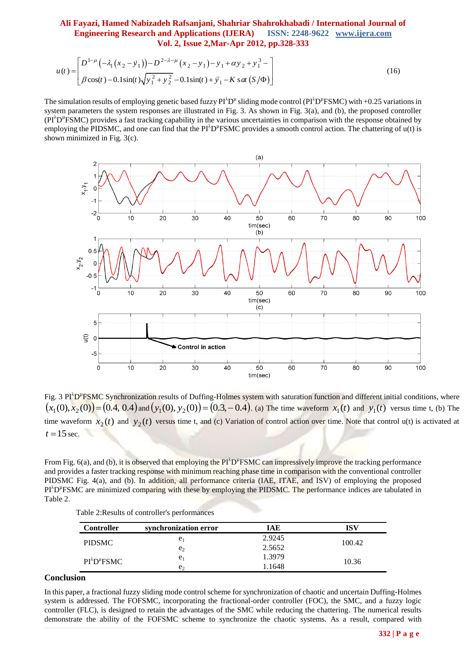# **Ali Fayazi, Hamed Nabizadeh Rafsanjani, Shahriar Shahrokhabadi / International Journal of Engineering Research and Applications (IJERA) ISSN: 2248-9622 www.ijera.com**

$$
\text{Vol. 2, Issue 2, Mar-Apr 2012, pp.328-333}
$$
\n
$$
u(t) = \begin{bmatrix} D^{1-\mu} \left( -\lambda_1 (x_2 - y_1) \right) - D^{2-\lambda-\mu} (x_2 - y_1) - y_1 + \alpha y_2 + y_1^3 - \\ \beta \cos(t) - 0.1 \sin(t) \sqrt{y_1^2 + y_2^2} - 0.1 \sin(t) + y_1 - K \text{ sat } (S/\Phi) \end{bmatrix}
$$
\n(16)

The simulation results of employing genetic based fuzzy  $PI^{\lambda}D^{\mu}$  sliding mode control ( $PI^{\lambda}D^{\mu}FSMC$ ) with +0.25 variations in system parameters the system responses are illustrated in Fig. 3. As shown in Fig. 3(a), and (b), the proposed controller  $(PI<sup>λ</sup>D<sup>µ</sup>FSMC)$  provides a fast tracking capability in the various uncertainties in comparison with the response obtained by employing the PIDSMC, and one can find that the PI<sup> $\lambda$ </sup>D<sup> $\mu$ </sup>FSMC provides a smooth control action. The chattering of  $u(t)$  is shown minimized in Fig. 3(c).



Fig. 3 PI<sup>A</sup>D<sup>#</sup>FSMC Synchronization results of Duffing-Holmes system with saturation function and different initial conditions, where  $(x_1(0), x_2(0)) = (0.4, 0.4)$  and  $(y_1(0), y_2(0)) = (0.3, -0.4)$ . (a) The time waveform  $x_1(t)$  and  $y_1(t)$  versus time t, (b) The time waveform  $x_2(t)$  and  $y_2(t)$  versus time t, and (c) Variation of control action over time. Note that control u(t) is activated at  $t = 15$  sec.

From Fig.  $6(a)$ , and (b), it is observed that employing the PI<sup> $\triangle$ </sup>D<sup>"</sup>FSMC can impressively improve the tracking performance and provides a faster tracking response with minimum reaching phase time in comparison with the conventional controller PIDSMC Fig. 4(a), and (b). In addition, all performance criteria (IAE, ITAE, and ISV) of employing the proposed PI<sup>λ</sup>D<sup>"</sup>FSMC are minimized comparing with these by employing the PIDSMC. The performance indices are tabulated in Table 2.

|  | Table 2: Results of controller's performances |
|--|-----------------------------------------------|
|--|-----------------------------------------------|

| <b>Controller</b>         | synchronization error | IAE    | ISV    |  |
|---------------------------|-----------------------|--------|--------|--|
| <b>PIDSMC</b>             | e <sub>1</sub>        | 2.9245 | 100.42 |  |
|                           | e <sub>2</sub>        | 2.5652 |        |  |
| $PI^{\lambda}D^{\mu}FSMC$ | e <sub>1</sub>        | 1.3979 |        |  |
|                           | e <sub>1</sub>        | 1.1648 | 10.36  |  |

## **Conclusion**

In this paper, a fractional fuzzy sliding mode control scheme for synchronization of chaotic and uncertain Duffing-Holmes system is addressed. The FOFSMC, incorporating the fractional-order controller (FOC), the SMC, and a fuzzy logic controller (FLC), is designed to retain the advantages of the SMC while reducing the chattering. The numerical results demonstrate the ability of the FOFSMC scheme to synchronize the chaotic systems. As a result, compared with